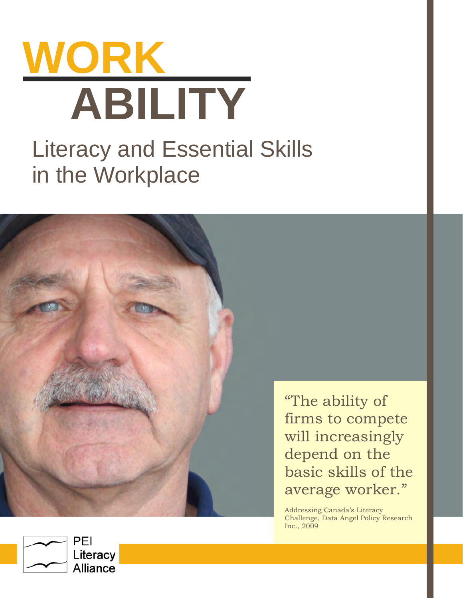



"The ability of firms to compete will increasingly depend on the basic skills of the average worker."

Addressing Canada's Literacy Challenge, Data Angel Policy Research Inc., 2009

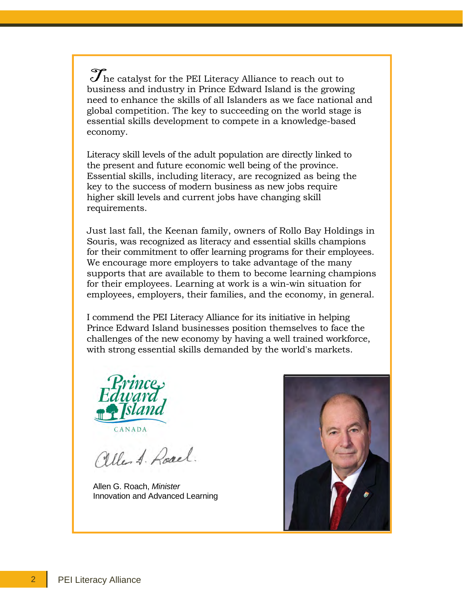$\mathcal J$  he catalyst for the PEI Literacy Alliance to reach out to business and industry in Prince Edward Island is the growing need to enhance the skills of all Islanders as we face national and global competition. The key to succeeding on the world stage is essential skills development to compete in a knowledge-based economy.

Literacy skill levels of the adult population are directly linked to the present and future economic well being of the province. Essential skills, including literacy, are recognized as being the key to the success of modern business as new jobs require higher skill levels and current jobs have changing skill requirements.

Just last fall, the Keenan family, owners of Rollo Bay Holdings in Souris, was recognized as literacy and essential skills champions for their commitment to offer learning programs for their employees. We encourage more employers to take advantage of the many supports that are available to them to become learning champions for their employees. Learning at work is a win-win situation for employees, employers, their families, and the economy, in general.

I commend the PEI Literacy Alliance for its initiative in helping Prince Edward Island businesses position themselves to face the challenges of the new economy by having a well trained workforce, with strong essential skills demanded by the world's markets.



aller A. Road.

Allen G. Roach, *Minister*  Innovation and Advanced Learning

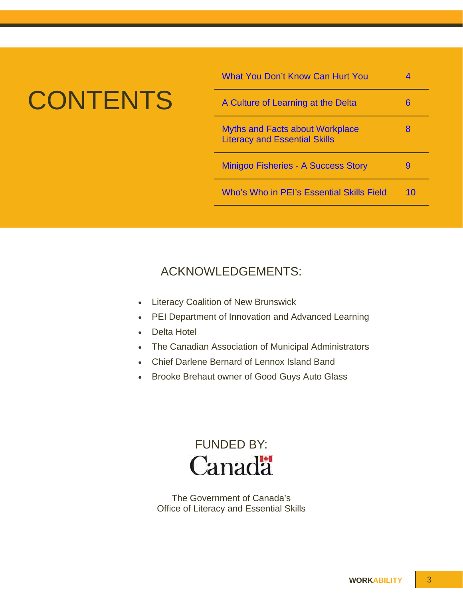# **CONTENTS**

| <b>What You Don't Know Can Hurt You</b>                                        |    |
|--------------------------------------------------------------------------------|----|
| A Culture of Learning at the Delta                                             | 6  |
| <b>Myths and Facts about Workplace</b><br><b>Literacy and Essential Skills</b> | 8  |
| <b>Minigoo Fisheries - A Success Story</b>                                     |    |
| Who's Who in PEI's Essential Skills Field                                      | 10 |

# ACKNOWLEDGEMENTS:

- Literacy Coalition of New Brunswick
- PEI Department of Innovation and Advanced Learning
- Delta Hotel
- The Canadian Association of Municipal Administrators
- Chief Darlene Bernard of Lennox Island Band
- Brooke Brehaut owner of Good Guys Auto Glass



The Government of Canada's Office of Literacy and Essential Skills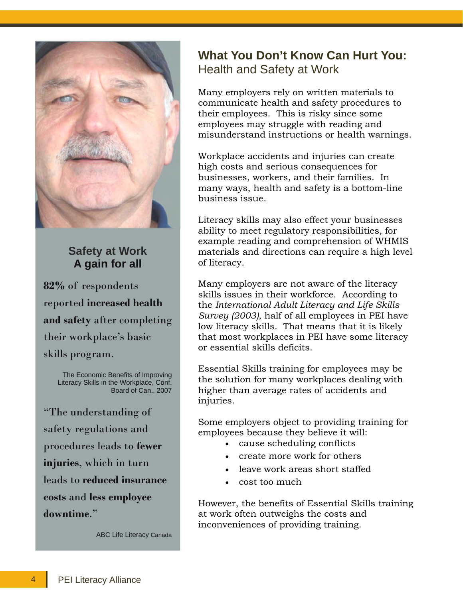<span id="page-3-0"></span>

### **Safety at Work A gain for all**

**82%** of respondents reported **increased health and safety** after completing their workplace's basic skills program.

> The Economic Benefits of Improving Literacy Skills in the Workplace, Conf. Board of Can., 2007

"The understanding of safety regulations and procedures leads to **fewer injuries**, which in turn leads to **reduced insurance costs** and **less employee downtime**."

ABC Life Literacy Canada

# **What You Don't Know Can Hurt You:**  Health and Safety at Work

Many employers rely on written materials to communicate health and safety procedures to their employees. This is risky since some employees may struggle with reading and misunderstand instructions or health warnings.

Workplace accidents and injuries can create high costs and serious consequences for businesses, workers, and their families. In many ways, health and safety is a bottom-line business issue.

Literacy skills may also effect your businesses ability to meet regulatory responsibilities, for example reading and comprehension of WHMIS materials and directions can require a high level of literacy.

Many employers are not aware of the literacy skills issues in their workforce. According to the *International Adult Literacy and Life Skills Survey (2003)*, half of all employees in PEI have low literacy skills. That means that it is likely that most workplaces in PEI have some literacy or essential skills deficits.

Essential Skills training for employees may be the solution for many workplaces dealing with higher than average rates of accidents and injuries.

Some employers object to providing training for employees because they believe it will:

- cause scheduling conflicts
- create more work for others
- leave work areas short staffed
- cost too much

However, the benefits of Essential Skills training at work often outweighs the costs and inconveniences of providing training.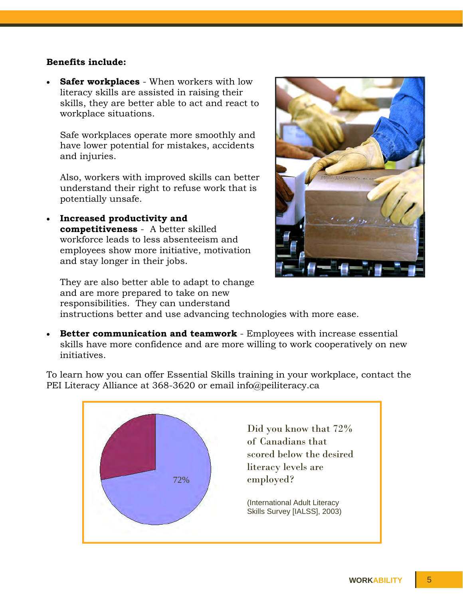#### **Benefits include:**

initiatives.

 **Safer workplaces** - When workers with low literacy skills are assisted in raising their skills, they are better able to act and react to workplace situations.

Safe workplaces operate more smoothly and have lower potential for mistakes, accidents and injuries.

Also, workers with improved skills can better understand their right to refuse work that is potentially unsafe.

 **Increased productivity and competitiveness** - A better skilled workforce leads to less absenteeism and employees show more initiative, motivation and stay longer in their jobs.

They are also better able to adapt to change and are more prepared to take on new responsibilities. They can understand instructions better and use advancing technologies with more ease.



 **Better communication and teamwork** - Employees with increase essential skills have more confidence and are more willing to work cooperatively on new

To learn how you can offer Essential Skills training in your workplace, contact the PEI Literacy Alliance at 368-3620 or email info@peiliteracy.ca

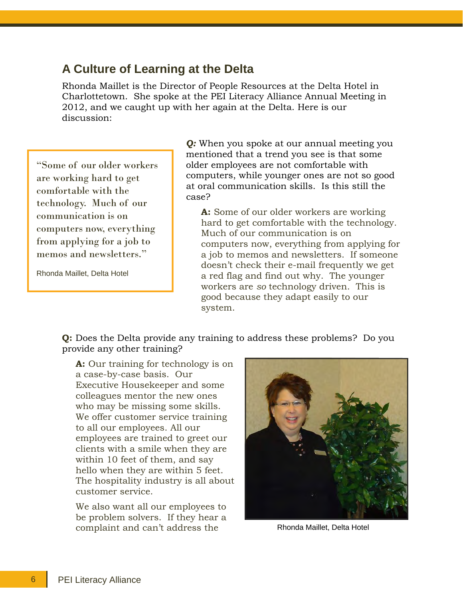#### <span id="page-5-0"></span>**A Culture of Learning at the Delta**

Rhonda Maillet is the Director of People Resources at the Delta Hotel in Charlottetown. She spoke at the PEI Literacy Alliance Annual Meeting in 2012, and we caught up with her again at the Delta. Here is our discussion:

"Some of our older workers are working hard to get comfortable with the technology. Much of our communication is on computers now, everything from applying for a job to memos and newsletters."

Rhonda Maillet, Delta Hotel

*Q:* When you spoke at our annual meeting you mentioned that a trend you see is that some older employees are not comfortable with computers, while younger ones are not so good at oral communication skills. Is this still the case?

**A:** Some of our older workers are working hard to get comfortable with the technology. Much of our communication is on computers now, everything from applying for a job to memos and newsletters. If someone doesn't check their e-mail frequently we get a red flag and find out why. The younger workers are *so* technology driven. This is good because they adapt easily to our system.

**Q:** Does the Delta provide any training to address these problems? Do you provide any other training?

**A:** Our training for technology is on a case-by-case basis. Our Executive Housekeeper and some colleagues mentor the new ones who may be missing some skills. We offer customer service training to all our employees. All our employees are trained to greet our clients with a smile when they are within 10 feet of them, and say hello when they are within 5 feet. The hospitality industry is all about customer service.

We also want all our employees to be problem solvers. If they hear a complaint and can't address the Rhonda Maillet, Delta Hotel

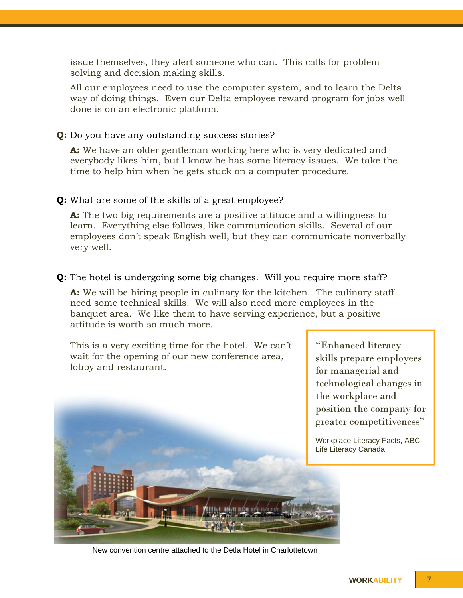<span id="page-6-0"></span>issue themselves, they alert someone who can. This calls for problem solving and decision making skills.

All our employees need to use the computer system, and to learn the Delta way of doing things. Even our Delta employee reward program for jobs well done is on an electronic platform.

**Q:** Do you have any outstanding success stories?

**A:** We have an older gentleman working here who is very dedicated and everybody likes him, but I know he has some literacy issues. We take the time to help him when he gets stuck on a computer procedure.

#### **Q:** What are some of the skills of a great employee?

**A:** The two big requirements are a positive attitude and a willingness to learn. Everything else follows, like communication skills. Several of our employees don't speak English well, but they can communicate nonverbally very well.

#### **Q:** The hotel is undergoing some big changes. Will you require more staff?

**A:** We will be hiring people in culinary for the kitchen. The culinary staff need some technical skills. We will also need more employees in the banquet area. We like them to have serving experience, but a positive attitude is worth so much more.

This is a very exciting time for the hotel. We can't wait for the opening of our new conference area, lobby and restaurant.



"Enhanced literacy skills prepare employees for managerial and technological changes in the workplace and position the company for greater competitiveness"

Workplace Literacy Facts, ABC Life Literacy Canada

New convention centre attached to the Detla Hotel in Charlottetown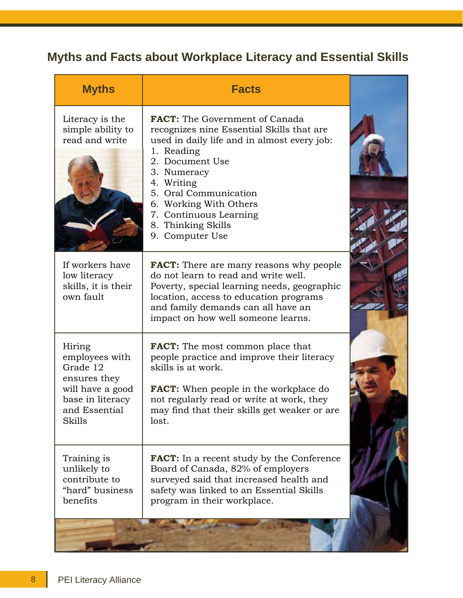# <span id="page-7-0"></span>**Myths and Facts about Workplace Literacy and Essential Skills**

| <b>Myths</b>                                                                                                            | <b>Facts</b>                                                                                                                                                                                                                                                                                                          |  |
|-------------------------------------------------------------------------------------------------------------------------|-----------------------------------------------------------------------------------------------------------------------------------------------------------------------------------------------------------------------------------------------------------------------------------------------------------------------|--|
| Literacy is the<br>simple ability to<br>read and write                                                                  | <b>FACT:</b> The Government of Canada<br>recognizes nine Essential Skills that are<br>used in daily life and in almost every job:<br>1. Reading<br>2. Document Use<br>3. Numeracy<br>4. Writing<br>5. Oral Communication<br>6. Working With Others<br>7. Continuous Learning<br>8. Thinking Skills<br>9. Computer Use |  |
| If workers have<br>low literacy<br>skills, it is their<br>own fault                                                     | <b>FACT:</b> There are many reasons why people<br>do not learn to read and write well.<br>Poverty, special learning needs, geographic<br>location, access to education programs<br>and family demands can all have an<br>impact on how well someone learns.                                                           |  |
| Hiring<br>employees with<br>Grade 12<br>ensures they<br>will have a good<br>base in literacy<br>and Essential<br>Skills | <b>FACT:</b> The most common place that<br>people practice and improve their literacy<br>skills is at work.<br><b>FACT:</b> When people in the workplace do<br>not regularly read or write at work, they<br>may find that their skills get weaker or are<br>lost.                                                     |  |
| Training is<br>unlikely to<br>contribute to<br>"hard" business<br>benefits                                              | <b>FACT:</b> In a recent study by the Conference<br>Board of Canada, 82% of employers<br>surveyed said that increased health and<br>safety was linked to an Essential Skills<br>program in their workplace.                                                                                                           |  |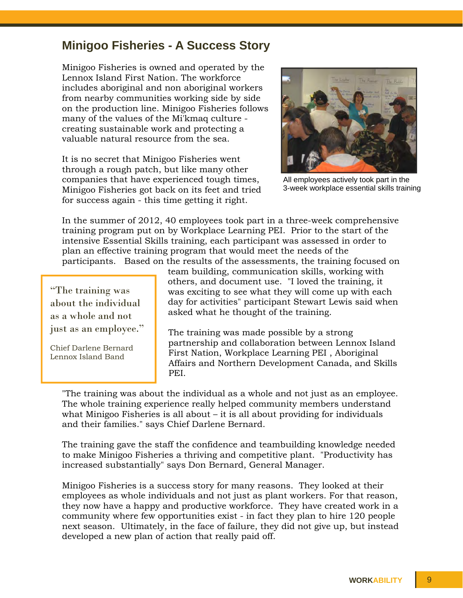## <span id="page-8-0"></span>**Minigoo Fisheries - A Success Story**

Minigoo Fisheries is owned and operated by the Lennox Island First Nation. The workforce includes aboriginal and non aboriginal workers from nearby communities working side by side on the production line. Minigoo Fisheries follows many of the values of the Mi'kmaq culture creating sustainable work and protecting a valuable natural resource from the sea.

It is no secret that Minigoo Fisheries went through a rough patch, but like many other companies that have experienced tough times, Minigoo Fisheries got back on its feet and tried for success again - this time getting it right.



All employees actively took part in the 3-week workplace essential skills training

In the summer of 2012, 40 employees took part in a three-week comprehensive training program put on by Workplace Learning PEI. Prior to the start of the intensive Essential Skills training, each participant was assessed in order to plan an effective training program that would meet the needs of the participants. Based on the results of the assessments, the training focused on

"The training was about the individual as a whole and not just as an employee."

Chief Darlene Bernard Lennox Island Band

team building, communication skills, working with others, and document use. "I loved the training, it was exciting to see what they will come up with each day for activities" participant Stewart Lewis said when asked what he thought of the training.

The training was made possible by a strong partnership and collaboration between Lennox Island First Nation, Workplace Learning PEI , Aboriginal Affairs and Northern Development Canada, and Skills PEI.

"The training was about the individual as a whole and not just as an employee. The whole training experience really helped community members understand what Minigoo Fisheries is all about – it is all about providing for individuals and their families." says Chief Darlene Bernard.

The training gave the staff the confidence and teambuilding knowledge needed to make Minigoo Fisheries a thriving and competitive plant. "Productivity has increased substantially" says Don Bernard, General Manager.

Minigoo Fisheries is a success story for many reasons. They looked at their employees as whole individuals and not just as plant workers. For that reason, they now have a happy and productive workforce. They have created work in a community where few opportunities exist - in fact they plan to hire 120 people next season. Ultimately, in the face of failure, they did not give up, but instead developed a new plan of action that really paid off.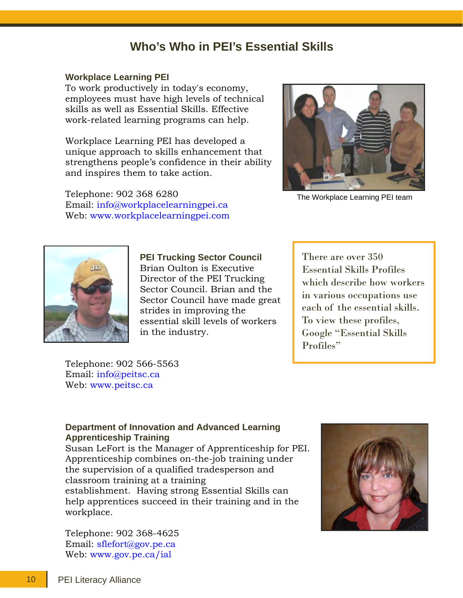# **Who's Who in PEI's Essential Skills**

#### <span id="page-9-0"></span>**Workplace Learning PEI**

To work productively in today's economy, employees must have high levels of technical skills as well as Essential Skills. Effective work-related learning programs can help.

Workplace Learning PEI has developed a unique approach to skills enhancement that strengthens people's confidence in their ability and inspires them to take action.

Telephone: 902 368 6280 Email: info@workplacelearningpei.ca Web: www.workplacelearningpei.com



The Workplace Learning PEI team



**PEI Trucking Sector Council** Brian Oulton is Executive Director of the PEI Trucking Sector Council. Brian and the Sector Council have made great strides in improving the essential skill levels of workers in the industry.

There are over 350 Essential Skills Profiles which describe how workers in various occupations use each of the essential skills. To view these profiles, Google "Essential Skills Profiles"

Telephone: 902 566-5563 Email: info@peitsc.ca Web: www.peitsc.ca

#### **Department of Innovation and Advanced Learning Apprenticeship Training**

Susan LeFort is the Manager of Apprenticeship for PEI. Apprenticeship combines on-the-job training under the supervision of a qualified tradesperson and classroom training at a training establishment. Having strong Essential Skills can help apprentices succeed in their training and in the workplace.

Telephone: 902 368-4625 Email: sflefort@gov.pe.ca Web: www.gov.pe.ca/ial

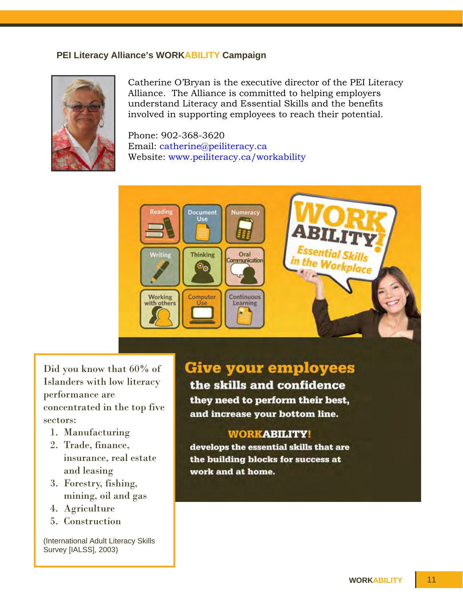#### **PEI Literacy Alliance's WORKABILITY Campaign**



Catherine O'Bryan is the executive director of the PEI Literacy Alliance. The Alliance is committed to helping employers understand Literacy and Essential Skills and the benefits involved in supporting employees to reach their potential.

Phone: 902-368-3620 Email: catherine@peiliteracy.ca Website: www.peiliteracy.ca/workability



Did you know that 60% of Islanders with low literacy performance are concentrated in the top five sectors:

- 1. Manufacturing
- 2. Trade, finance, insurance, real estate and leasing
- 3. Forestry, fishing, mining, oil and gas
- 4. Agriculture
- 5. Construction

(International Adult Literacy Skills Survey [IALSS], 2003)

# **Give your employees**

the skills and confidence they need to perform their best, and increase your bottom line.

#### **WORKABILITY!**

develops the essential skills that are the building blocks for success at work and at home.